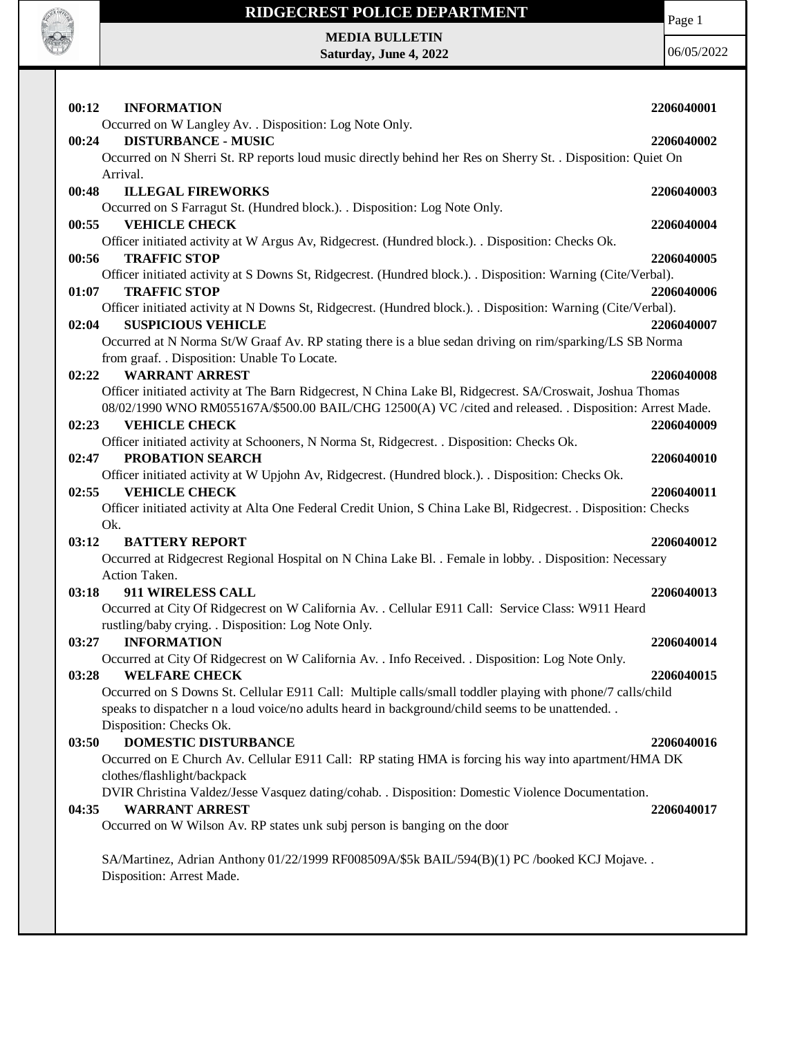

Page 1

**MEDIA BULLETIN Saturday, June 4, 2022**

| 00:12<br><b>INFORMATION</b>                                                                                           | 2206040001 |
|-----------------------------------------------------------------------------------------------------------------------|------------|
| Occurred on W Langley Av. . Disposition: Log Note Only.<br><b>DISTURBANCE - MUSIC</b>                                 |            |
| 00:24<br>Occurred on N Sherri St. RP reports loud music directly behind her Res on Sherry St. . Disposition: Quiet On | 2206040002 |
| Arrival.                                                                                                              |            |
| 00:48<br><b>ILLEGAL FIREWORKS</b>                                                                                     | 2206040003 |
| Occurred on S Farragut St. (Hundred block.). . Disposition: Log Note Only.                                            |            |
| <b>VEHICLE CHECK</b><br>00:55                                                                                         | 2206040004 |
| Officer initiated activity at W Argus Av, Ridgecrest. (Hundred block.). . Disposition: Checks Ok.                     |            |
| <b>TRAFFIC STOP</b><br>00:56                                                                                          | 2206040005 |
| Officer initiated activity at S Downs St, Ridgecrest. (Hundred block.). . Disposition: Warning (Cite/Verbal).         |            |
| <b>TRAFFIC STOP</b><br>01:07                                                                                          | 2206040006 |
| Officer initiated activity at N Downs St, Ridgecrest. (Hundred block.). . Disposition: Warning (Cite/Verbal).         |            |
| <b>SUSPICIOUS VEHICLE</b><br>02:04                                                                                    | 2206040007 |
| Occurred at N Norma St/W Graaf Av. RP stating there is a blue sedan driving on rim/sparking/LS SB Norma               |            |
| from graaf. . Disposition: Unable To Locate.                                                                          |            |
| <b>WARRANT ARREST</b><br>02:22                                                                                        | 2206040008 |
| Officer initiated activity at The Barn Ridgecrest, N China Lake Bl, Ridgecrest. SA/Croswait, Joshua Thomas            |            |
| 08/02/1990 WNO RM055167A/\$500.00 BAIL/CHG 12500(A) VC /cited and released. . Disposition: Arrest Made.               |            |
| <b>VEHICLE CHECK</b><br>02:23                                                                                         | 2206040009 |
| Officer initiated activity at Schooners, N Norma St, Ridgecrest. . Disposition: Checks Ok.                            |            |
| PROBATION SEARCH<br>02:47                                                                                             | 2206040010 |
| Officer initiated activity at W Upjohn Av, Ridgecrest. (Hundred block.). . Disposition: Checks Ok.                    |            |
| 02:55<br><b>VEHICLE CHECK</b>                                                                                         | 2206040011 |
| Officer initiated activity at Alta One Federal Credit Union, S China Lake Bl, Ridgecrest. . Disposition: Checks       |            |
| Ok.                                                                                                                   |            |
| 03:12<br><b>BATTERY REPORT</b>                                                                                        | 2206040012 |
| Occurred at Ridgecrest Regional Hospital on N China Lake Bl. . Female in lobby. . Disposition: Necessary              |            |
| Action Taken.<br>03:18<br>911 WIRELESS CALL                                                                           | 2206040013 |
| Occurred at City Of Ridgecrest on W California Av. . Cellular E911 Call: Service Class: W911 Heard                    |            |
| rustling/baby crying. . Disposition: Log Note Only.                                                                   |            |
| <b>INFORMATION</b><br>03:27                                                                                           | 2206040014 |
| Occurred at City Of Ridgecrest on W California Av. . Info Received. . Disposition: Log Note Only.                     |            |
| <b>WELFARE CHECK</b><br>03:28                                                                                         | 2206040015 |
| Occurred on S Downs St. Cellular E911 Call: Multiple calls/small toddler playing with phone/7 calls/child             |            |
| speaks to dispatcher n a loud voice/no adults heard in background/child seems to be unattended                        |            |
| Disposition: Checks Ok.                                                                                               |            |
| <b>DOMESTIC DISTURBANCE</b><br>03:50                                                                                  | 2206040016 |
| Occurred on E Church Av. Cellular E911 Call: RP stating HMA is forcing his way into apartment/HMA DK                  |            |
| clothes/flashlight/backpack                                                                                           |            |
| DVIR Christina Valdez/Jesse Vasquez dating/cohab. . Disposition: Domestic Violence Documentation.                     |            |
| <b>WARRANT ARREST</b><br>04:35                                                                                        | 2206040017 |
| Occurred on W Wilson Av. RP states unk subj person is banging on the door                                             |            |
|                                                                                                                       |            |
| SA/Martinez, Adrian Anthony 01/22/1999 RF008509A/\$5k BAIL/594(B)(1) PC /booked KCJ Mojave. .                         |            |
| Disposition: Arrest Made.                                                                                             |            |
|                                                                                                                       |            |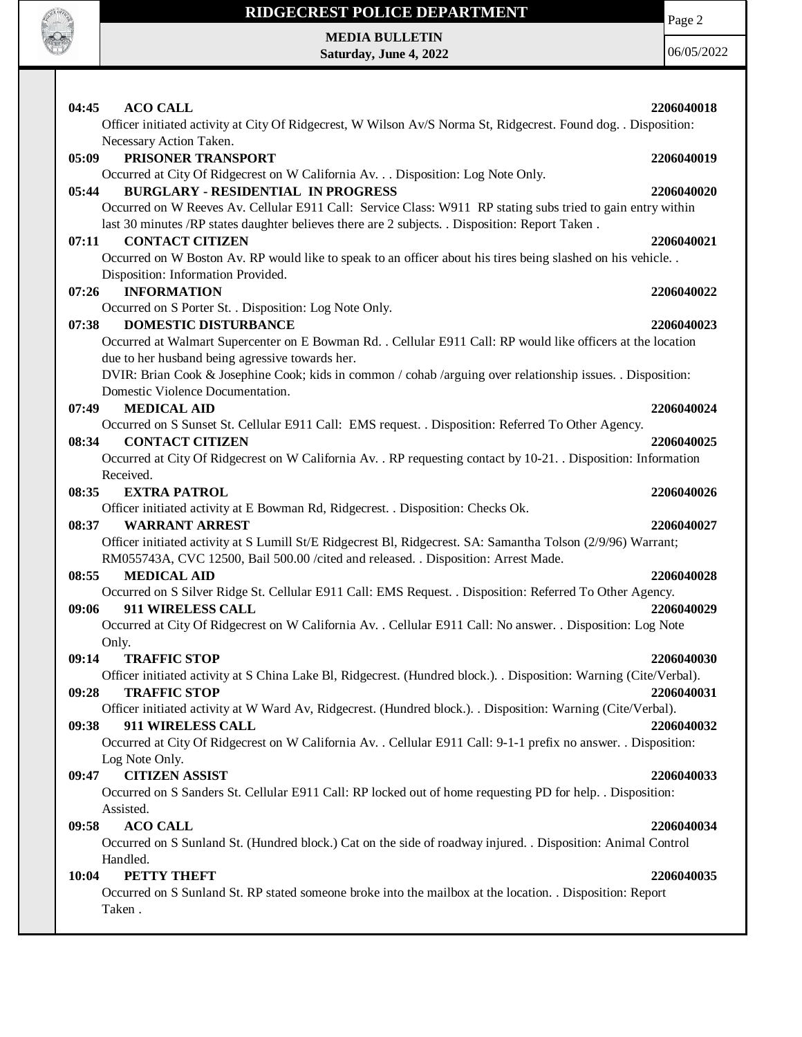

Page 2

**MEDIA BULLETIN Saturday, June 4, 2022**

| 04:45 | <b>ACO CALL</b>                                                                                                             | 2206040018 |
|-------|-----------------------------------------------------------------------------------------------------------------------------|------------|
|       | Officer initiated activity at City Of Ridgecrest, W Wilson Av/S Norma St, Ridgecrest. Found dog. . Disposition:             |            |
|       | Necessary Action Taken.                                                                                                     |            |
| 05:09 | PRISONER TRANSPORT                                                                                                          | 2206040019 |
| 05:44 | Occurred at City Of Ridgecrest on W California Av. Disposition: Log Note Only.<br><b>BURGLARY - RESIDENTIAL IN PROGRESS</b> | 2206040020 |
|       | Occurred on W Reeves Av. Cellular E911 Call: Service Class: W911 RP stating subs tried to gain entry within                 |            |
|       | last 30 minutes /RP states daughter believes there are 2 subjects. . Disposition: Report Taken.                             |            |
| 07:11 | <b>CONTACT CITIZEN</b>                                                                                                      | 2206040021 |
|       | Occurred on W Boston Av. RP would like to speak to an officer about his tires being slashed on his vehicle. .               |            |
|       | Disposition: Information Provided.                                                                                          |            |
| 07:26 | <b>INFORMATION</b>                                                                                                          | 2206040022 |
|       | Occurred on S Porter St. . Disposition: Log Note Only.                                                                      |            |
| 07:38 | <b>DOMESTIC DISTURBANCE</b>                                                                                                 | 2206040023 |
|       | Occurred at Walmart Supercenter on E Bowman Rd. . Cellular E911 Call: RP would like officers at the location                |            |
|       | due to her husband being agressive towards her.                                                                             |            |
|       | DVIR: Brian Cook & Josephine Cook; kids in common / cohab /arguing over relationship issues. . Disposition:                 |            |
|       | Domestic Violence Documentation.                                                                                            |            |
| 07:49 | <b>MEDICAL AID</b>                                                                                                          | 2206040024 |
|       | Occurred on S Sunset St. Cellular E911 Call: EMS request. . Disposition: Referred To Other Agency.                          |            |
| 08:34 | <b>CONTACT CITIZEN</b>                                                                                                      | 2206040025 |
|       | Occurred at City Of Ridgecrest on W California Av. . RP requesting contact by 10-21. . Disposition: Information             |            |
|       | Received.                                                                                                                   |            |
| 08:35 | <b>EXTRA PATROL</b>                                                                                                         | 2206040026 |
|       | Officer initiated activity at E Bowman Rd, Ridgecrest. . Disposition: Checks Ok.                                            |            |
| 08:37 | <b>WARRANT ARREST</b>                                                                                                       | 2206040027 |
|       | Officer initiated activity at S Lumill St/E Ridgecrest Bl, Ridgecrest. SA: Samantha Tolson (2/9/96) Warrant;                |            |
|       | RM055743A, CVC 12500, Bail 500.00 /cited and released. . Disposition: Arrest Made.                                          |            |
| 08:55 | <b>MEDICAL AID</b>                                                                                                          | 2206040028 |
|       | Occurred on S Silver Ridge St. Cellular E911 Call: EMS Request. . Disposition: Referred To Other Agency.                    |            |
| 09:06 | 911 WIRELESS CALL                                                                                                           | 2206040029 |
|       | Occurred at City Of Ridgecrest on W California Av. . Cellular E911 Call: No answer. . Disposition: Log Note                 |            |
|       | Only.                                                                                                                       |            |
| 09:14 | <b>TRAFFIC STOP</b>                                                                                                         | 2206040030 |
|       | Officer initiated activity at S China Lake Bl, Ridgecrest. (Hundred block.). . Disposition: Warning (Cite/Verbal).          |            |
| 09:28 | <b>TRAFFIC STOP</b>                                                                                                         | 2206040031 |
|       | Officer initiated activity at W Ward Av, Ridgecrest. (Hundred block.). . Disposition: Warning (Cite/Verbal).                |            |
| 09:38 | 911 WIRELESS CALL                                                                                                           | 2206040032 |
|       | Occurred at City Of Ridgecrest on W California Av. . Cellular E911 Call: 9-1-1 prefix no answer. . Disposition:             |            |
|       | Log Note Only.                                                                                                              |            |
| 09:47 | <b>CITIZEN ASSIST</b>                                                                                                       | 2206040033 |
|       | Occurred on S Sanders St. Cellular E911 Call: RP locked out of home requesting PD for help. . Disposition:                  |            |
| 09:58 | Assisted.<br><b>ACO CALL</b>                                                                                                | 2206040034 |
|       | Occurred on S Sunland St. (Hundred block.) Cat on the side of roadway injured. . Disposition: Animal Control                |            |
|       | Handled.                                                                                                                    |            |
| 10:04 | PETTY THEFT                                                                                                                 | 2206040035 |
|       | Occurred on S Sunland St. RP stated someone broke into the mailbox at the location. . Disposition: Report                   |            |
|       | Taken.                                                                                                                      |            |
|       |                                                                                                                             |            |
|       |                                                                                                                             |            |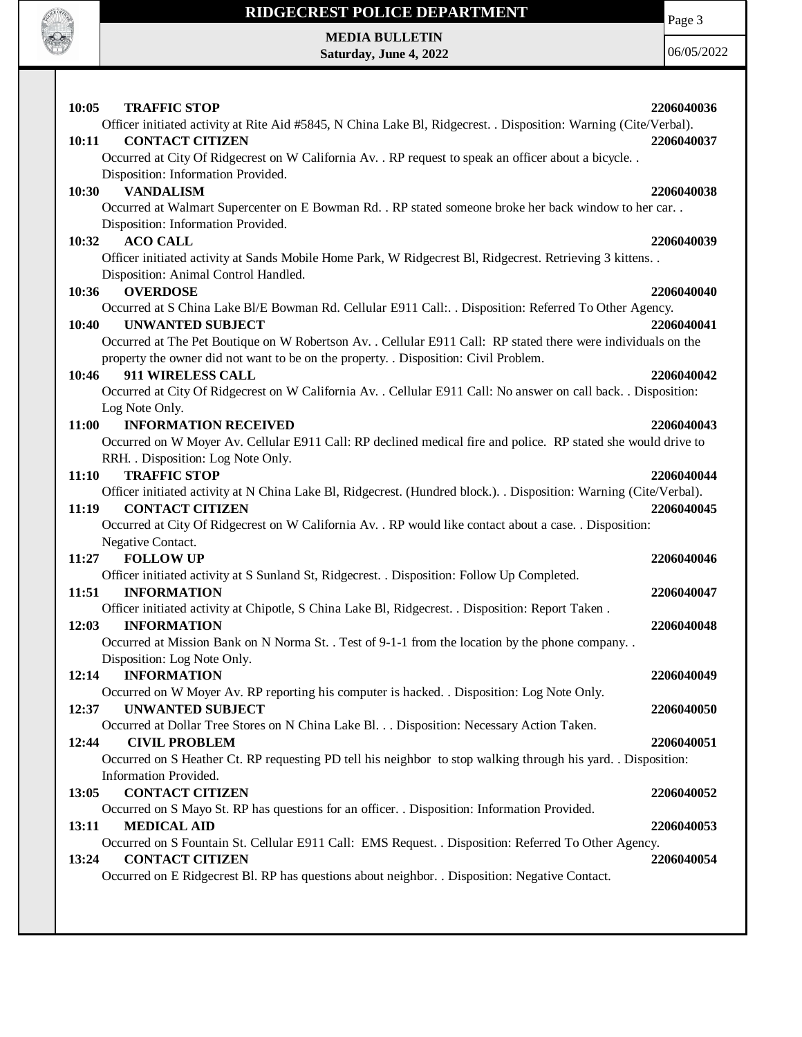

**MEDIA BULLETIN Saturday, June 4, 2022** Page 3

| 10:05 | <b>TRAFFIC STOP</b>                                                                                                     | 2206040036 |
|-------|-------------------------------------------------------------------------------------------------------------------------|------------|
|       | Officer initiated activity at Rite Aid #5845, N China Lake Bl, Ridgecrest. . Disposition: Warning (Cite/Verbal).        |            |
| 10:11 | <b>CONTACT CITIZEN</b>                                                                                                  | 2206040037 |
|       | Occurred at City Of Ridgecrest on W California Av. . RP request to speak an officer about a bicycle. .                  |            |
|       | Disposition: Information Provided.                                                                                      |            |
| 10:30 | <b>VANDALISM</b>                                                                                                        | 2206040038 |
|       | Occurred at Walmart Supercenter on E Bowman Rd. . RP stated someone broke her back window to her car. .                 |            |
|       | Disposition: Information Provided.                                                                                      |            |
| 10:32 | <b>ACO CALL</b>                                                                                                         | 2206040039 |
|       | Officer initiated activity at Sands Mobile Home Park, W Ridgecrest Bl, Ridgecrest. Retrieving 3 kittens                 |            |
|       | Disposition: Animal Control Handled.                                                                                    |            |
| 10:36 | <b>OVERDOSE</b>                                                                                                         | 2206040040 |
|       | Occurred at S China Lake Bl/E Bowman Rd. Cellular E911 Call: Disposition: Referred To Other Agency.                     |            |
| 10:40 | <b>UNWANTED SUBJECT</b>                                                                                                 | 2206040041 |
|       | Occurred at The Pet Boutique on W Robertson Av. . Cellular E911 Call: RP stated there were individuals on the           |            |
|       | property the owner did not want to be on the property. . Disposition: Civil Problem.                                    |            |
| 10:46 | 911 WIRELESS CALL                                                                                                       | 2206040042 |
|       | Occurred at City Of Ridgecrest on W California Av. . Cellular E911 Call: No answer on call back. . Disposition:         |            |
|       | Log Note Only.                                                                                                          |            |
| 11:00 | <b>INFORMATION RECEIVED</b>                                                                                             | 2206040043 |
|       | Occurred on W Moyer Av. Cellular E911 Call: RP declined medical fire and police. RP stated she would drive to           |            |
|       | RRH. . Disposition: Log Note Only.                                                                                      |            |
| 11:10 | <b>TRAFFIC STOP</b>                                                                                                     | 2206040044 |
|       | Officer initiated activity at N China Lake Bl, Ridgecrest. (Hundred block.). . Disposition: Warning (Cite/Verbal).      |            |
| 11:19 | <b>CONTACT CITIZEN</b>                                                                                                  | 2206040045 |
|       | Occurred at City Of Ridgecrest on W California Av. . RP would like contact about a case. . Disposition:                 |            |
|       | Negative Contact.                                                                                                       |            |
| 11:27 | <b>FOLLOW UP</b>                                                                                                        | 2206040046 |
| 11:51 | Officer initiated activity at S Sunland St, Ridgecrest. . Disposition: Follow Up Completed.<br><b>INFORMATION</b>       | 2206040047 |
|       |                                                                                                                         |            |
| 12:03 | Officer initiated activity at Chipotle, S China Lake Bl, Ridgecrest. . Disposition: Report Taken.<br><b>INFORMATION</b> | 2206040048 |
|       | Occurred at Mission Bank on N Norma St. . Test of 9-1-1 from the location by the phone company. .                       |            |
|       | Disposition: Log Note Only.                                                                                             |            |
| 12:14 | <b>INFORMATION</b>                                                                                                      | 2206040049 |
|       | Occurred on W Moyer Av. RP reporting his computer is hacked. . Disposition: Log Note Only.                              |            |
| 12:37 | <b>UNWANTED SUBJECT</b>                                                                                                 | 2206040050 |
|       | Occurred at Dollar Tree Stores on N China Lake Bl. Disposition: Necessary Action Taken.                                 |            |
| 12:44 | <b>CIVIL PROBLEM</b>                                                                                                    | 2206040051 |
|       | Occurred on S Heather Ct. RP requesting PD tell his neighbor to stop walking through his yard. . Disposition:           |            |
|       | Information Provided.                                                                                                   |            |
| 13:05 | <b>CONTACT CITIZEN</b>                                                                                                  | 2206040052 |
|       | Occurred on S Mayo St. RP has questions for an officer. . Disposition: Information Provided.                            |            |
| 13:11 | <b>MEDICAL AID</b>                                                                                                      | 2206040053 |
|       | Occurred on S Fountain St. Cellular E911 Call: EMS Request. . Disposition: Referred To Other Agency.                    |            |
| 13:24 | <b>CONTACT CITIZEN</b>                                                                                                  | 2206040054 |
|       | Occurred on E Ridgecrest Bl. RP has questions about neighbor. . Disposition: Negative Contact.                          |            |
|       |                                                                                                                         |            |
|       |                                                                                                                         |            |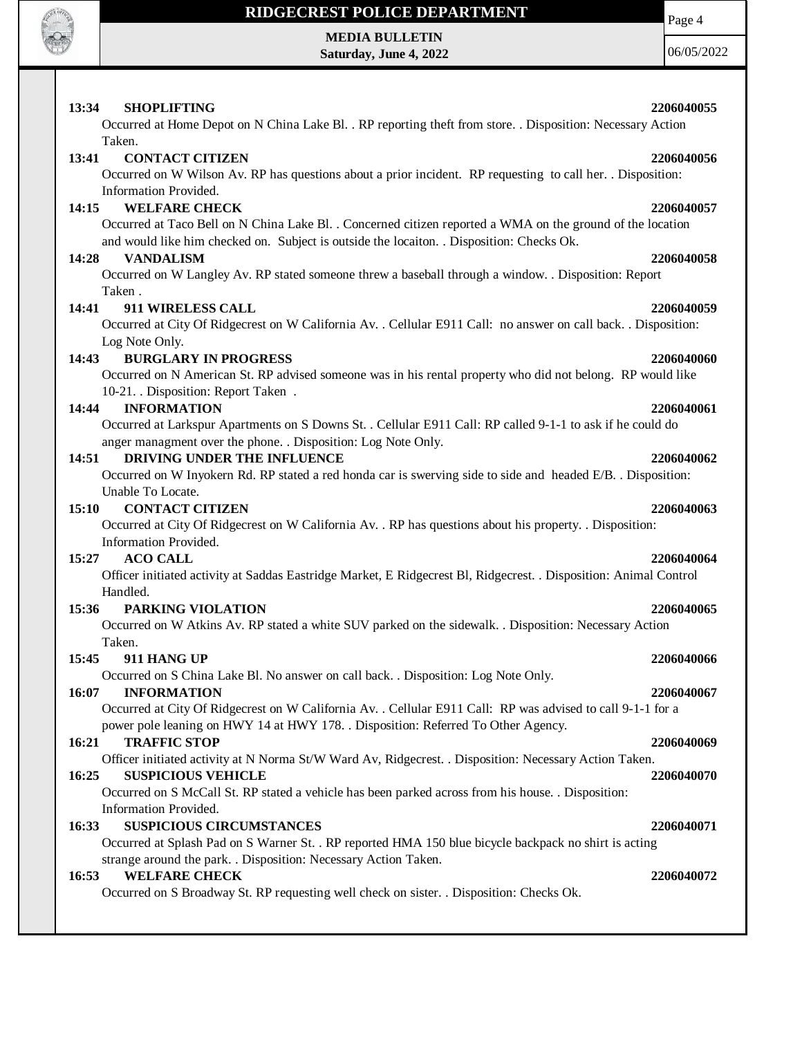

**MEDIA BULLETIN Saturday, June 4, 2022** Page 4

| 13:34<br><b>SHOPLIFTING</b>                                                                                                 | 2206040055 |
|-----------------------------------------------------------------------------------------------------------------------------|------------|
| Occurred at Home Depot on N China Lake Bl. . RP reporting theft from store. . Disposition: Necessary Action<br>Taken.       |            |
| <b>CONTACT CITIZEN</b><br>13:41                                                                                             | 2206040056 |
| Occurred on W Wilson Av. RP has questions about a prior incident. RP requesting to call her. . Disposition:                 |            |
| Information Provided.                                                                                                       |            |
| <b>WELFARE CHECK</b><br>14:15                                                                                               | 2206040057 |
| Occurred at Taco Bell on N China Lake Bl. . Concerned citizen reported a WMA on the ground of the location                  |            |
| and would like him checked on. Subject is outside the locaiton. Disposition: Checks Ok.                                     |            |
| 14:28<br><b>VANDALISM</b>                                                                                                   | 2206040058 |
| Occurred on W Langley Av. RP stated someone threw a baseball through a window. . Disposition: Report                        |            |
| Taken.                                                                                                                      |            |
| 14:41<br>911 WIRELESS CALL                                                                                                  | 2206040059 |
| Occurred at City Of Ridgecrest on W California Av. . Cellular E911 Call: no answer on call back. . Disposition:             |            |
| Log Note Only.                                                                                                              |            |
| <b>BURGLARY IN PROGRESS</b><br>14:43                                                                                        | 2206040060 |
| Occurred on N American St. RP advised someone was in his rental property who did not belong. RP would like                  |            |
| 10-21. Disposition: Report Taken.                                                                                           |            |
| <b>INFORMATION</b><br>14:44                                                                                                 | 2206040061 |
| Occurred at Larkspur Apartments on S Downs St. . Cellular E911 Call: RP called 9-1-1 to ask if he could do                  |            |
| anger managment over the phone. . Disposition: Log Note Only.                                                               |            |
| 14:51<br>DRIVING UNDER THE INFLUENCE                                                                                        | 2206040062 |
| Occurred on W Inyokern Rd. RP stated a red honda car is swerving side to side and headed E/B. . Disposition:                |            |
| Unable To Locate.                                                                                                           |            |
| <b>CONTACT CITIZEN</b><br>15:10                                                                                             | 2206040063 |
|                                                                                                                             |            |
| Occurred at City Of Ridgecrest on W California Av. . RP has questions about his property. . Disposition:                    |            |
| Information Provided.                                                                                                       |            |
| 15:27<br><b>ACO CALL</b>                                                                                                    | 2206040064 |
| Officer initiated activity at Saddas Eastridge Market, E Ridgecrest Bl, Ridgecrest. . Disposition: Animal Control           |            |
| Handled.                                                                                                                    |            |
| PARKING VIOLATION<br>15:36                                                                                                  | 2206040065 |
| Occurred on W Atkins Av. RP stated a white SUV parked on the sidewalk. . Disposition: Necessary Action                      |            |
| Taken.                                                                                                                      |            |
| 15:45<br>911 HANG UP                                                                                                        | 2206040066 |
| Occurred on S China Lake Bl. No answer on call back. . Disposition: Log Note Only.                                          |            |
| <b>INFORMATION</b><br>16:07                                                                                                 | 2206040067 |
| Occurred at City Of Ridgecrest on W California Av. . Cellular E911 Call: RP was advised to call 9-1-1 for a                 |            |
| power pole leaning on HWY 14 at HWY 178. Disposition: Referred To Other Agency.                                             |            |
| <b>TRAFFIC STOP</b><br>16:21                                                                                                | 2206040069 |
| Officer initiated activity at N Norma St/W Ward Av, Ridgecrest. . Disposition: Necessary Action Taken.                      |            |
| <b>SUSPICIOUS VEHICLE</b><br>16:25                                                                                          | 2206040070 |
| Occurred on S McCall St. RP stated a vehicle has been parked across from his house. . Disposition:<br>Information Provided. |            |
| <b>SUSPICIOUS CIRCUMSTANCES</b><br>16:33                                                                                    | 2206040071 |
| Occurred at Splash Pad on S Warner St. . RP reported HMA 150 blue bicycle backpack no shirt is acting                       |            |
| strange around the park. . Disposition: Necessary Action Taken.                                                             |            |
| <b>WELFARE CHECK</b><br>16:53                                                                                               | 2206040072 |
| Occurred on S Broadway St. RP requesting well check on sister. . Disposition: Checks Ok.                                    |            |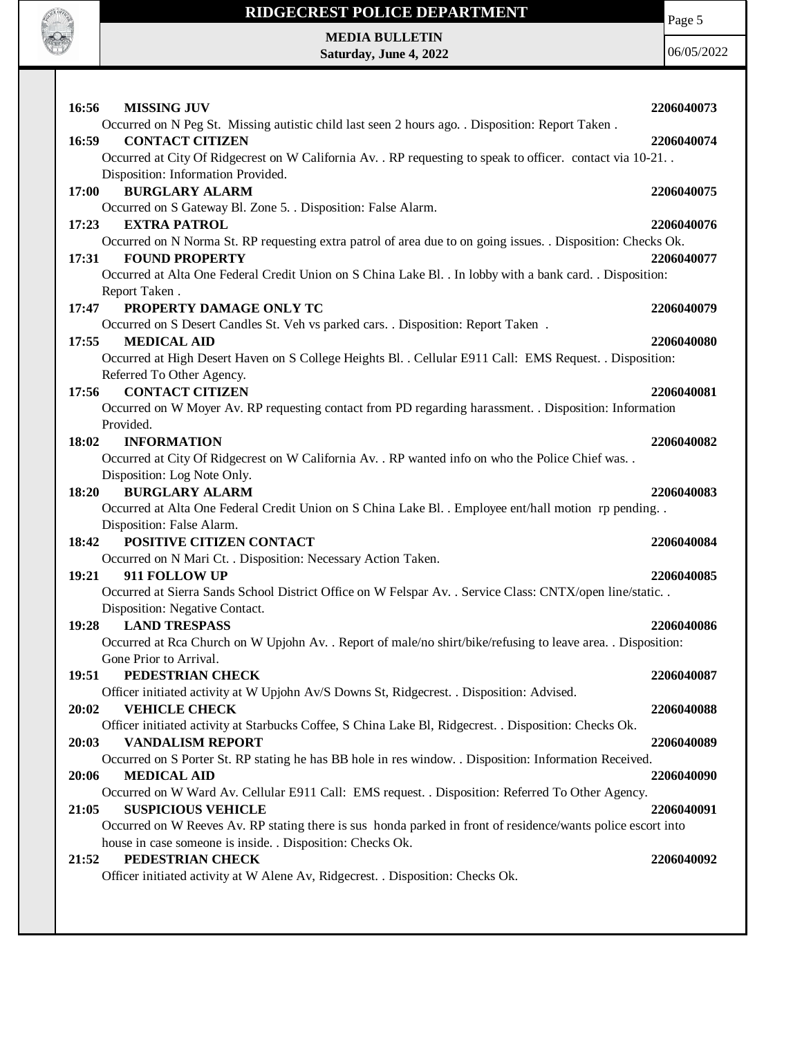

Page 5

**MEDIA BULLETIN Saturday, June 4, 2022**

| 16:56<br><b>MISSING JUV</b>                                                                                  | 2206040073 |
|--------------------------------------------------------------------------------------------------------------|------------|
| Occurred on N Peg St. Missing autistic child last seen 2 hours ago. . Disposition: Report Taken.             |            |
| <b>CONTACT CITIZEN</b><br>16:59                                                                              | 2206040074 |
| Occurred at City Of Ridgecrest on W California Av. . RP requesting to speak to officer. contact via 10-21. . |            |
| Disposition: Information Provided.                                                                           |            |
| <b>BURGLARY ALARM</b><br>17:00                                                                               | 2206040075 |
| Occurred on S Gateway Bl. Zone 5. . Disposition: False Alarm.                                                |            |
| 17:23<br><b>EXTRA PATROL</b>                                                                                 | 2206040076 |
| Occurred on N Norma St. RP requesting extra patrol of area due to on going issues. . Disposition: Checks Ok. |            |
| 17:31<br><b>FOUND PROPERTY</b>                                                                               | 2206040077 |
| Occurred at Alta One Federal Credit Union on S China Lake Bl. . In lobby with a bank card. . Disposition:    |            |
| Report Taken.                                                                                                |            |
| PROPERTY DAMAGE ONLY TC<br>17:47                                                                             | 2206040079 |
| Occurred on S Desert Candles St. Veh vs parked cars. . Disposition: Report Taken .                           |            |
| 17:55<br><b>MEDICAL AID</b>                                                                                  | 2206040080 |
| Occurred at High Desert Haven on S College Heights Bl. . Cellular E911 Call: EMS Request. . Disposition:     |            |
| Referred To Other Agency.                                                                                    |            |
| <b>CONTACT CITIZEN</b><br>17:56                                                                              | 2206040081 |
| Occurred on W Moyer Av. RP requesting contact from PD regarding harassment. . Disposition: Information       |            |
| Provided.                                                                                                    |            |
| 18:02<br><b>INFORMATION</b>                                                                                  | 2206040082 |
| Occurred at City Of Ridgecrest on W California Av. . RP wanted info on who the Police Chief was. .           |            |
| Disposition: Log Note Only.                                                                                  |            |
| <b>BURGLARY ALARM</b><br>18:20                                                                               | 2206040083 |
| Occurred at Alta One Federal Credit Union on S China Lake Bl. . Employee ent/hall motion rp pending          |            |
| Disposition: False Alarm.                                                                                    |            |
| POSITIVE CITIZEN CONTACT<br>18:42                                                                            | 2206040084 |
| Occurred on N Mari Ct. . Disposition: Necessary Action Taken.                                                |            |
| 19:21<br>911 FOLLOW UP                                                                                       | 2206040085 |
| Occurred at Sierra Sands School District Office on W Felspar Av. . Service Class: CNTX/open line/static. .   |            |
| Disposition: Negative Contact.                                                                               |            |
| 19:28<br><b>LAND TRESPASS</b>                                                                                | 2206040086 |
| Occurred at Rca Church on W Upjohn Av. . Report of male/no shirt/bike/refusing to leave area. . Disposition: |            |
| Gone Prior to Arrival.                                                                                       |            |
| PEDESTRIAN CHECK<br>19:51                                                                                    | 2206040087 |
| Officer initiated activity at W Upjohn Av/S Downs St, Ridgecrest. . Disposition: Advised.                    |            |
| 20:02<br><b>VEHICLE CHECK</b>                                                                                | 2206040088 |
| Officer initiated activity at Starbucks Coffee, S China Lake Bl, Ridgecrest. . Disposition: Checks Ok.       |            |
| <b>VANDALISM REPORT</b><br>20:03                                                                             | 2206040089 |
| Occurred on S Porter St. RP stating he has BB hole in res window. . Disposition: Information Received.       |            |
| 20:06<br><b>MEDICAL AID</b>                                                                                  | 2206040090 |
| Occurred on W Ward Av. Cellular E911 Call: EMS request. . Disposition: Referred To Other Agency.             |            |
| <b>SUSPICIOUS VEHICLE</b><br>21:05                                                                           | 2206040091 |
| Occurred on W Reeves Av. RP stating there is sus honda parked in front of residence/wants police escort into |            |
| house in case someone is inside. . Disposition: Checks Ok.                                                   |            |
| PEDESTRIAN CHECK<br>21:52                                                                                    | 2206040092 |
| Officer initiated activity at W Alene Av, Ridgecrest. . Disposition: Checks Ok.                              |            |
|                                                                                                              |            |